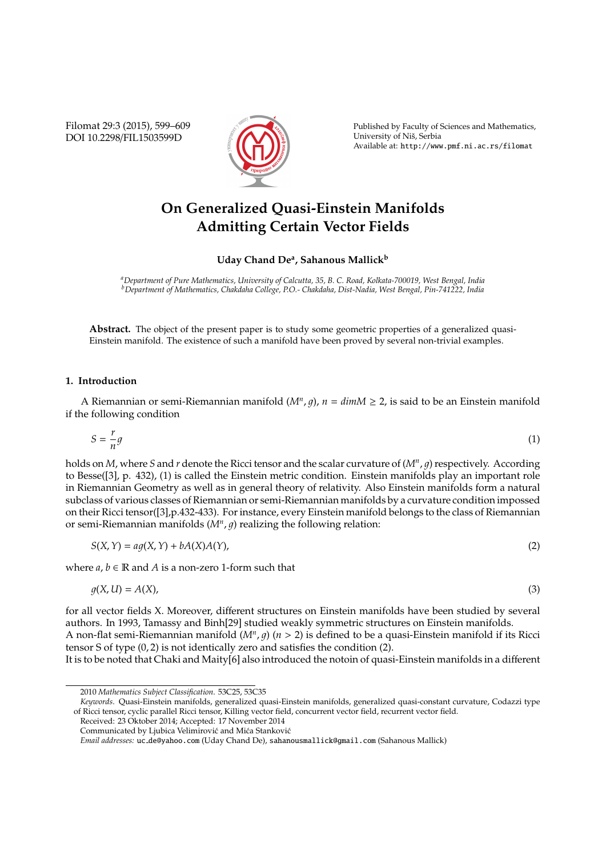Filomat 29:3 (2015), 599–609 DOI 10.2298/FIL1503599D



Published by Faculty of Sciences and Mathematics, University of Niš, Serbia Available at: http://www.pmf.ni.ac.rs/filomat

# **On Generalized Quasi-Einstein Manifolds Admitting Certain Vector Fields**

**Uday Chand De<sup>a</sup> , Sahanous Mallick<sup>b</sup>**

*<sup>a</sup>Department of Pure Mathematics, University of Calcutta, 35, B. C. Road, Kolkata-700019, West Bengal, India <sup>b</sup>Department of Mathematics, Chakdaha College, P.O.- Chakdaha, Dist-Nadia, West Bengal, Pin-741222, India*

**Abstract.** The object of the present paper is to study some geometric properties of a generalized quasi-Einstein manifold. The existence of such a manifold have been proved by several non-trivial examples.

### **1. Introduction**

A Riemannian or semi-Riemannian manifold  $(M^n, g)$ ,  $n = dim M \geq 2$ , is said to be an Einstein manifold if the following condition

$$
S = -\frac{r}{n}g\tag{1}
$$

holds on *M*, where *S* and *r* denote the Ricci tensor and the scalar curvature of (M<sup>n</sup>, g) respectively. According to Besse([3], p. 432), (1) is called the Einstein metric condition. Einstein manifolds play an important role in Riemannian Geometry as well as in general theory of relativity. Also Einstein manifolds form a natural subclass of various classes of Riemannian or semi-Riemannian manifolds by a curvature condition impossed on their Ricci tensor([3],p.432-433). For instance, every Einstein manifold belongs to the class of Riemannian or semi-Riemannian manifolds  $(M<sup>n</sup>, g)$  realizing the following relation:

$$
S(X,Y) = ag(X,Y) + bA(X)A(Y),
$$
\n(2)

where  $a, b \in \mathbb{R}$  and A is a non-zero 1-form such that

$$
g(X, U) = A(X),
$$
\n(3)

for all vector fields X. Moreover, different structures on Einstein manifolds have been studied by several authors. In 1993, Tamassy and Binh[29] studied weakly symmetric structures on Einstein manifolds. A non-flat semi-Riemannian manifold  $(M^n, g)$   $(n > 2)$  is defined to be a quasi-Einstein manifold if its Ricci tensor S of type (0, 2) is not identically zero and satisfies the condition (2).

It is to be noted that Chaki and Maity[6] also introduced the notoin of quasi-Einstein manifolds in a different

Received: 23 Oktober 2014; Accepted: 17 November 2014 Communicated by Ljubica Velimirović and Mića Stanković

<sup>2010</sup> *Mathematics Subject Classification*. 53C25, 53C35

*Keywords*. Quasi-Einstein manifolds, generalized quasi-Einstein manifolds, generalized quasi-constant curvature, Codazzi type of Ricci tensor, cyclic parallel Ricci tensor, Killing vector field, concurrent vector field, recurrent vector field.

*Email addresses:* uc de@yahoo.com (Uday Chand De), sahanousmallick@gmail.com (Sahanous Mallick)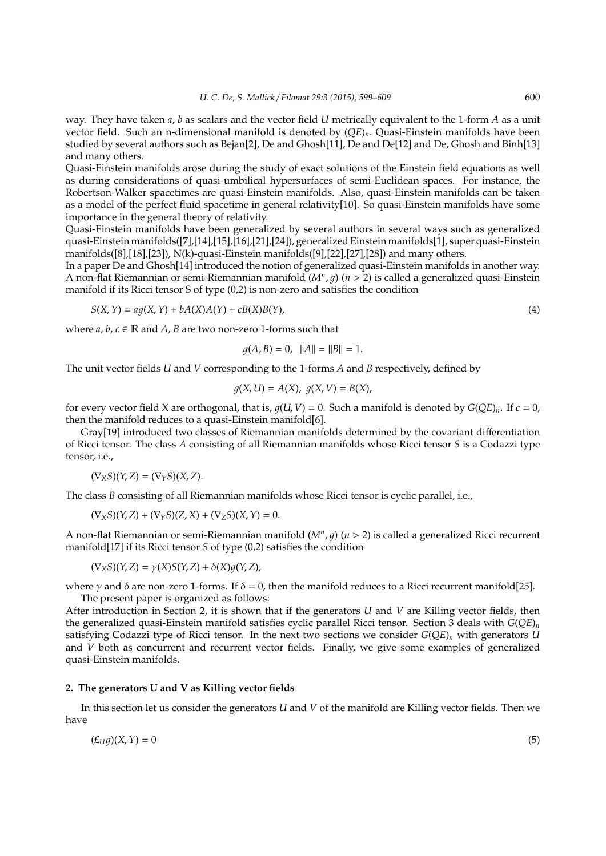way. They have taken *a*, *b* as scalars and the vector field *U* metrically equivalent to the 1-form *A* as a unit vector field. Such an n-dimensional manifold is denoted by (*QE*)*n*. Quasi-Einstein manifolds have been studied by several authors such as Bejan[2], De and Ghosh[11], De and De[12] and De, Ghosh and Binh[13] and many others.

Quasi-Einstein manifolds arose during the study of exact solutions of the Einstein field equations as well as during considerations of quasi-umbilical hypersurfaces of semi-Euclidean spaces. For instance, the Robertson-Walker spacetimes are quasi-Einstein manifolds. Also, quasi-Einstein manifolds can be taken as a model of the perfect fluid spacetime in general relativity[10]. So quasi-Einstein manifolds have some importance in the general theory of relativity.

Quasi-Einstein manifolds have been generalized by several authors in several ways such as generalized quasi-Einstein manifolds([7],[14],[15],[16],[21],[24]), generalized Einstein manifolds[1], super quasi-Einstein manifolds([8],[18],[23]), N(k)-quasi-Einstein manifolds([9],[22],[27],[28]) and many others.

In a paper De and Ghosh[14] introduced the notion of generalized quasi-Einstein manifolds in another way. A non-flat Riemannian or semi-Riemannian manifold ( $M^n$ ,  $g$ ) ( $n > 2$ ) is called a generalized quasi-Einstein manifold if its Ricci tensor S of type (0,2) is non-zero and satisfies the condition

$$
S(X,Y) = ag(X,Y) + bA(X)A(Y) + cB(X)B(Y),
$$
\n(4)

where  $a, b, c \in \mathbb{R}$  and  $A$ ,  $B$  are two non-zero 1-forms such that

$$
g(A, B) = 0, \quad ||A|| = ||B|| = 1.
$$

The unit vector fields *U* and *V* corresponding to the 1-forms *A* and *B* respectively, defined by

$$
g(X, U) = A(X), g(X, V) = B(X),
$$

for every vector field X are orthogonal, that is,  $q(U, V) = 0$ . Such a manifold is denoted by  $G(OE)_n$ . If  $c = 0$ , then the manifold reduces to a quasi-Einstein manifold[6].

Gray[19] introduced two classes of Riemannian manifolds determined by the covariant differentiation of Ricci tensor. The class *A* consisting of all Riemannian manifolds whose Ricci tensor *S* is a Codazzi type tensor, i.e.,

 $(\nabla_X S)(Y, Z) = (\nabla_Y S)(X, Z).$ 

The class *B* consisting of all Riemannian manifolds whose Ricci tensor is cyclic parallel, i.e.,

$$
(\nabla_X S)(Y,Z) + (\nabla_Y S)(Z,X) + (\nabla_Z S)(X,Y) = 0.
$$

A non-flat Riemannian or semi-Riemannian manifold ( $M^n$ ,  $g$ ) ( $n > 2$ ) is called a generalized Ricci recurrent manifold[17] if its Ricci tensor *S* of type (0,2) satisfies the condition

$$
(\nabla_X S)(Y,Z) = \gamma(X)S(Y,Z) + \delta(X)g(Y,Z),
$$

where  $\gamma$  and  $\delta$  are non-zero 1-forms. If  $\delta = 0$ , then the manifold reduces to a Ricci recurrent manifold[25]. The present paper is organized as follows:

After introduction in Section 2, it is shown that if the generators *U* and *V* are Killing vector fields, then the generalized quasi-Einstein manifold satisfies cyclic parallel Ricci tensor. Section 3 deals with *G*(*QE*)*<sup>n</sup>* satisfying Codazzi type of Ricci tensor. In the next two sections we consider  $G(QE)_n$  with generators *U* and *V* both as concurrent and recurrent vector fields. Finally, we give some examples of generalized quasi-Einstein manifolds.

#### **2. The generators U and V as Killing vector fields**

In this section let us consider the generators *U* and *V* of the manifold are Killing vector fields. Then we have

$$
(\mathcal{L}_U g)(X, Y) = 0 \tag{5}
$$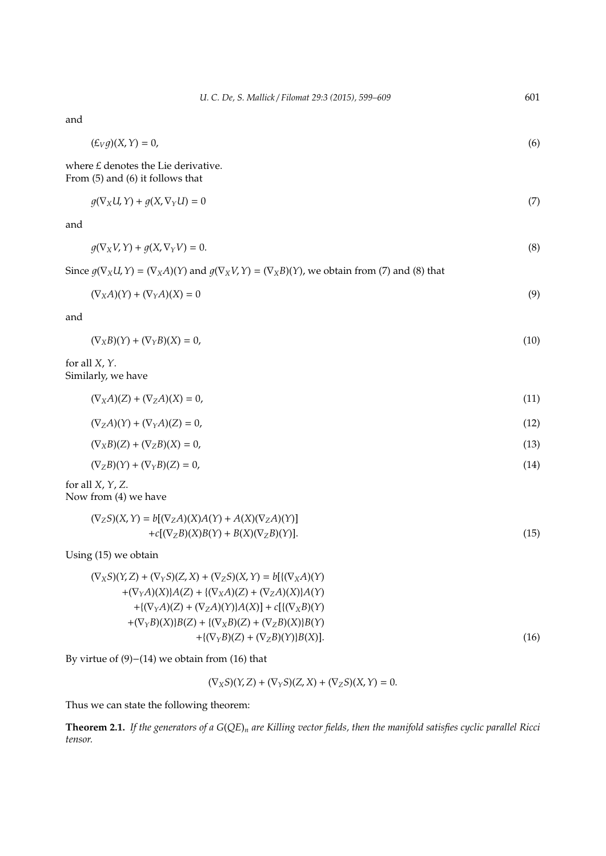| (6)  |
|------|
|      |
|      |
|      |
| (7)  |
|      |
| (8)  |
|      |
| (9)  |
|      |
| (10) |
|      |
| (11) |
| (12) |
| (13) |
| (14) |
|      |
| (15) |
|      |
| (16) |
|      |

By virtue of (9)−(14) we obtain from (16) that

 $(\nabla_X S)(Y, Z) + (\nabla_Y S)(Z, X) + (\nabla_Z S)(X, Y) = 0.$ 

Thus we can state the following theorem:

**Theorem 2.1.** *If the generators of a G*(*QE*)*<sup>n</sup> are Killing vector fields, then the manifold satisfies cyclic parallel Ricci tensor.*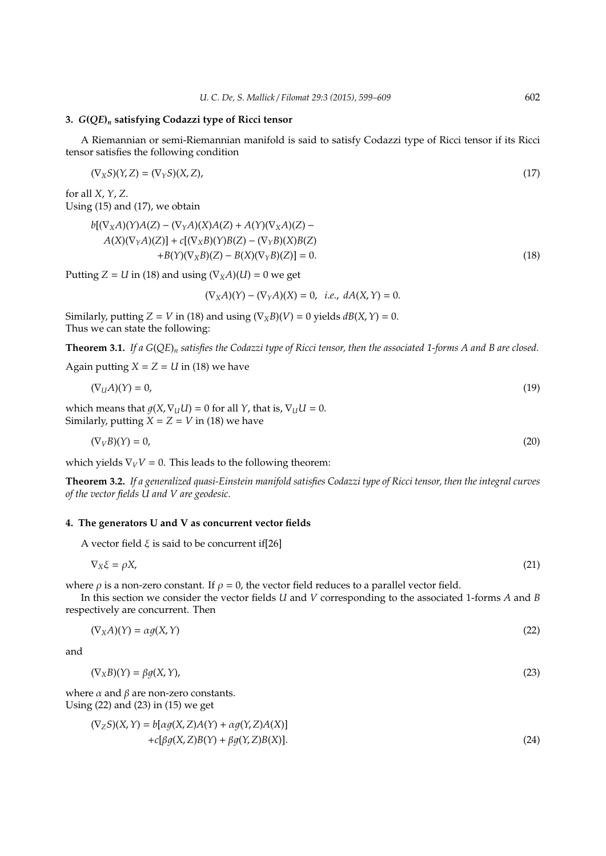#### **3.** *G***(***QE***)***<sup>n</sup>* **satisfying Codazzi type of Ricci tensor**

A Riemannian or semi-Riemannian manifold is said to satisfy Codazzi type of Ricci tensor if its Ricci tensor satisfies the following condition

$$
(\nabla_X S)(Y,Z) = (\nabla_Y S)(X,Z),\tag{17}
$$

for all *X*, *Y*, *Z*. Using (15) and (17), we obtain

$$
b[(\nabla_X A)(Y)A(Z) - (\nabla_Y A)(X)A(Z) + A(Y)(\nabla_X A)(Z) - A(X)(\nabla_Y A)(Z)] + c[(\nabla_X B)(Y)B(Z) - (\nabla_Y B)(X)B(Z) - B(X)(\nabla_Y B)(Z)] = 0.
$$
\n(18)

Putting  $Z = U$  in (18) and using  $(\nabla_X A)(U) = 0$  we get

 $(\nabla_X A)(Y) - (\nabla_Y A)(X) = 0$ , *i.e.*,  $dA(X, Y) = 0$ .

Similarly, putting  $Z = V$  in (18) and using  $(\nabla_X B)(V) = 0$  yields  $dB(X, Y) = 0$ . Thus we can state the following:

**Theorem 3.1.** *If a G*(*QE*)*<sup>n</sup> satisfies the Codazzi type of Ricci tensor, then the associated 1-forms A and B are closed.*

Again putting  $X = Z = U$  in (18) we have

$$
(\nabla_u A)(Y) = 0,\t\t(19)
$$

which means that  $g(X, \nabla_U U) = 0$  for all *Y*, that is,  $\nabla_U U = 0$ . Similarly, putting  $\dot{X} = Z = V$  in (18) we have

$$
(\nabla_V B)(Y) = 0,\t(20)
$$

which yields  $\nabla_V V = 0$ . This leads to the following theorem:

**Theorem 3.2.** *If a generalized quasi-Einstein manifold satisfies Codazzi type of Ricci tensor, then the integral curves of the vector fields U and V are geodesic.*

# **4. The generators U and V as concurrent vector fields**

A vector field  $\xi$  is said to be concurrent if[26]

$$
\nabla_X \xi = \rho X,\tag{21}
$$

where  $\rho$  is a non-zero constant. If  $\rho = 0$ , the vector field reduces to a parallel vector field.

In this section we consider the vector fields *U* and *V* corresponding to the associated 1-forms *A* and *B* respectively are concurrent. Then

$$
(\nabla_X A)(Y) = \alpha g(X, Y) \tag{22}
$$

and

$$
(\nabla_X B)(Y) = \beta g(X, Y), \tag{23}
$$

where  $\alpha$  and  $\beta$  are non-zero constants. Using (22) and (23) in (15) we get

$$
(\nabla_Z S)(X, Y) = b[\alpha g(X, Z)A(Y) + \alpha g(Y, Z)A(X)] + c[\beta g(X, Z)B(Y) + \beta g(Y, Z)B(X)].
$$
\n(24)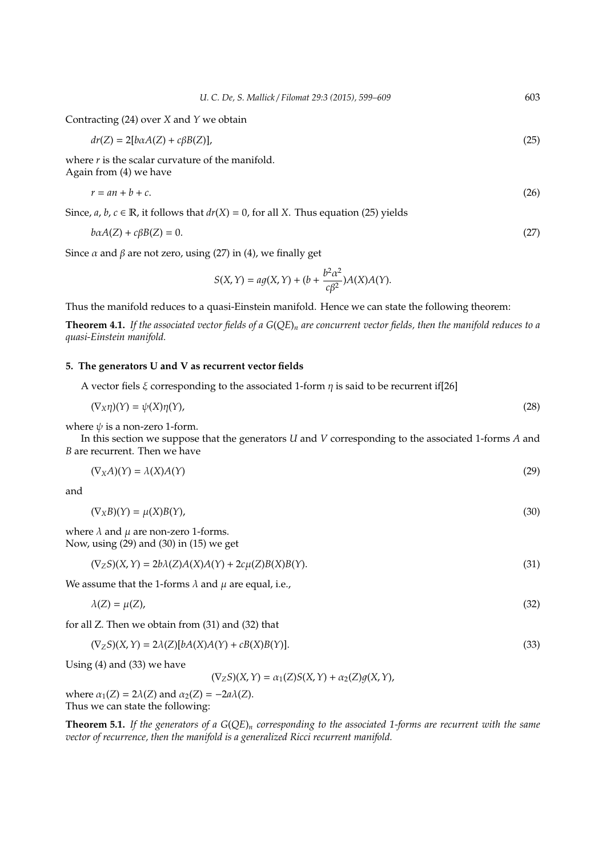Contracting (24) over *X* and *Y* we obtain

$$
dr(Z) = 2[b\alpha A(Z) + c\beta B(Z)],\tag{25}
$$

where *r* is the scalar curvature of the manifold. Again from (4) we have

$$
r = an + b + c.\tag{26}
$$

Since,  $a, b, c \in \mathbb{R}$ , it follows that  $dr(X) = 0$ , for all *X*. Thus equation (25) yields

$$
b\alpha A(Z) + c\beta B(Z) = 0. \tag{27}
$$

Since  $\alpha$  and  $\beta$  are not zero, using (27) in (4), we finally get

$$
S(X,Y) = a g(X,Y) + (b + \frac{b^2 \alpha^2}{c\beta^2})A(X)A(Y).
$$

Thus the manifold reduces to a quasi-Einstein manifold. Hence we can state the following theorem:

**Theorem 4.1.** *If the associated vector fields of a G*(*QE*)*<sup>n</sup> are concurrent vector fields, then the manifold reduces to a quasi-Einstein manifold.*

# **5. The generators U and V as recurrent vector fields**

A vector fiels  $\xi$  corresponding to the associated 1-form  $\eta$  is said to be recurrent if[26]

$$
(\nabla_X \eta)(Y) = \psi(X)\eta(Y),\tag{28}
$$

where  $\psi$  is a non-zero 1-form.

In this section we suppose that the generators *U* and *V* corresponding to the associated 1-forms *A* and *B* are recurrent. Then we have

$$
(\nabla_X A)(Y) = \lambda(X)A(Y) \tag{29}
$$

and

$$
(\nabla_X B)(Y) = \mu(X)B(Y),\tag{30}
$$

where  $\lambda$  and  $\mu$  are non-zero 1-forms. Now, using (29) and (30) in (15) we get

$$
(\nabla_Z S)(X, Y) = 2b\lambda(Z)A(X)A(Y) + 2c\mu(Z)B(X)B(Y).
$$
\n(31)

We assume that the 1-forms  $\lambda$  and  $\mu$  are equal, i.e.,

$$
\lambda(Z) = \mu(Z),\tag{32}
$$

for all Z. Then we obtain from (31) and (32) that

$$
(\nabla_Z S)(X, Y) = 2\lambda(Z)[bA(X)A(Y) + cB(X)B(Y)].
$$
\n(33)

Using (4) and (33) we have

 $(\nabla_Z S)(X, Y) = \alpha_1(Z)S(X, Y) + \alpha_2(Z)g(X, Y),$ 

where  $\alpha_1(Z) = 2\lambda(Z)$  and  $\alpha_2(Z) = -2a\lambda(Z)$ . Thus we can state the following:

**Theorem 5.1.** *If the generators of a G*(*QE*)*<sup>n</sup> corresponding to the associated 1-forms are recurrent with the same vector of recurrence, then the manifold is a generalized Ricci recurrent manifold.*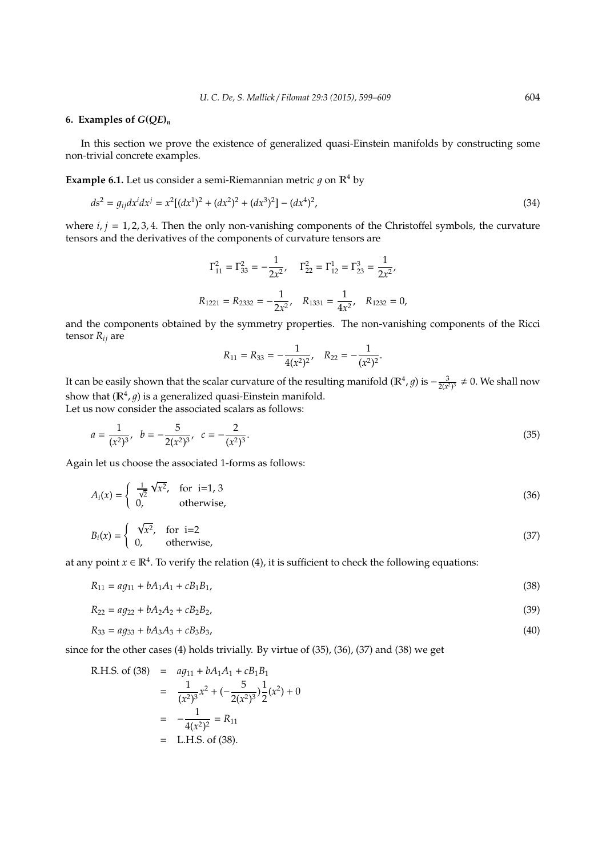# **6.** Examples of  $G(OE)$ <sup>n</sup>

In this section we prove the existence of generalized quasi-Einstein manifolds by constructing some non-trivial concrete examples.

**Example 6.1.** Let us consider a semi-Riemannian metric  $g$  on  $\mathbb{R}^4$  by

$$
ds^{2} = g_{ij}dx^{i}dx^{j} = x^{2}[(dx^{1})^{2} + (dx^{2})^{2} + (dx^{3})^{2}] - (dx^{4})^{2},
$$
\n(34)

where *i*, *j* = 1, 2, 3, 4. Then the only non-vanishing components of the Christoffel symbols, the curvature tensors and the derivatives of the components of curvature tensors are

$$
\Gamma_{11}^2 = \Gamma_{33}^2 = -\frac{1}{2x^2}, \quad \Gamma_{22}^2 = \Gamma_{12}^1 = \Gamma_{23}^3 = \frac{1}{2x^2},
$$

$$
R_{1221} = R_{2332} = -\frac{1}{2x^2}, \quad R_{1331} = \frac{1}{4x^2}, \quad R_{1232} = 0,
$$

and the components obtained by the symmetry properties. The non-vanishing components of the Ricci tensor *Rij* are

$$
R_{11} = R_{33} = -\frac{1}{4(x^2)^2}, \quad R_{22} = -\frac{1}{(x^2)^2}.
$$

It can be easily shown that the scalar curvature of the resulting manifold ( $\mathbb{R}^4$ *, g*) is  $-\frac{3}{2(x^2)^3} \neq 0$ . We shall now show that  $(\mathbb{R}^4, g)$  is a generalized quasi-Einstein manifold. Let us now consider the associated scalars as follows:

$$
a = \frac{1}{(x^2)^3}, \quad b = -\frac{5}{2(x^2)^3}, \quad c = -\frac{2}{(x^2)^3}.
$$
\n<sup>(35)</sup>

Again let us choose the associated 1-forms as follows:

$$
A_i(x) = \begin{cases} \frac{1}{\sqrt{2}} \sqrt{x^2}, & \text{for } i = 1, 3 \\ 0, & \text{otherwise,} \end{cases}
$$
 (36)

$$
B_i(x) = \begin{cases} \sqrt{x^2}, & \text{for } i=2\\ 0, & \text{otherwise,} \end{cases}
$$
 (37)

at any point  $x \in \mathbb{R}^4$ . To verify the relation (4), it is sufficient to check the following equations:

$$
R_{11} = a g_{11} + b A_1 A_1 + c B_1 B_1,\tag{38}
$$

$$
R_{22} = ag_{22} + bA_2A_2 + cB_2B_2,\tag{39}
$$

$$
R_{33} = ag_{33} + bA_3A_3 + cB_3B_3,\tag{40}
$$

since for the other cases (4) holds trivially. By virtue of (35), (36), (37) and (38) we get

R.H.S. of (38) = 
$$
ag_{11} + bA_1A_1 + cB_1B_1
$$
  
\n=  $\frac{1}{(x^2)^3}x^2 + (-\frac{5}{2(x^2)^3})\frac{1}{2}(x^2) + 0$   
\n=  $-\frac{1}{4(x^2)^2} = R_{11}$   
\n= L.H.S. of (38).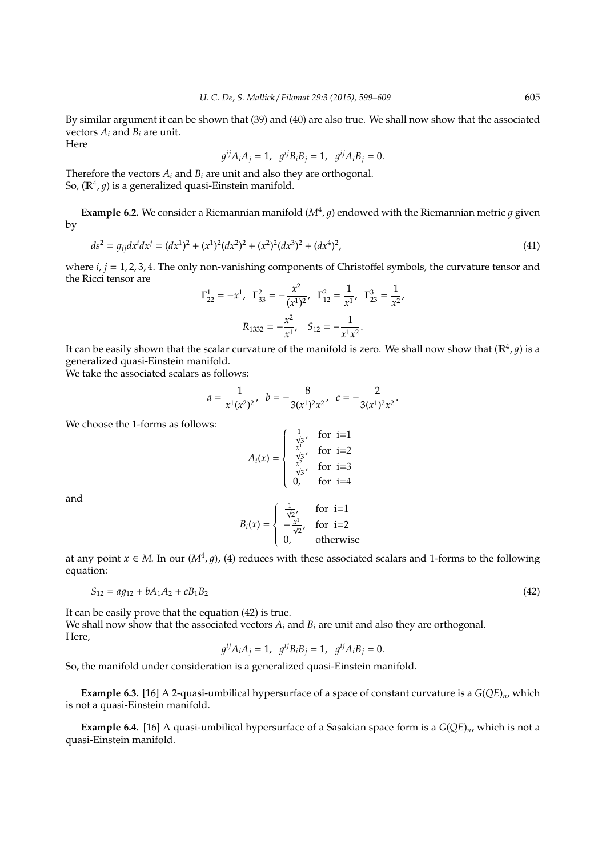By similar argument it can be shown that (39) and (40) are also true. We shall now show that the associated vectors *A<sup>i</sup>* and *B<sup>i</sup>* are unit. Here

$$
g^{ij}A_iA_j = 1
$$
,  $g^{ij}B_iB_j = 1$ ,  $g^{ij}A_iB_j = 0$ .

Therefore the vectors  $A_i$  and  $B_i$  are unit and also they are orthogonal. So,  $(\mathbb{R}^4, g)$  is a generalized quasi-Einstein manifold.

**Example 6.2.** We consider a Riemannian manifold  $(M^4, g)$  endowed with the Riemannian metric g given by

$$
ds^{2} = g_{ij}dx^{i}dx^{j} = (dx^{1})^{2} + (x^{1})^{2}(dx^{2})^{2} + (x^{2})^{2}(dx^{3})^{2} + (dx^{4})^{2},
$$
\n(41)

where *i*, *j* = 1, 2, 3, 4. The only non-vanishing components of Christoffel symbols, the curvature tensor and the Ricci tensor are

$$
\Gamma_{22}^1 = -x^1, \ \Gamma_{33}^2 = -\frac{x^2}{(x^1)^2}, \ \Gamma_{12}^2 = \frac{1}{x^1}, \ \Gamma_{23}^3 = \frac{1}{x^2},
$$

$$
R_{1332} = -\frac{x^2}{x^1}, \ \ S_{12} = -\frac{1}{x^1 x^2}.
$$

It can be easily shown that the scalar curvature of the manifold is zero. We shall now show that  $(\mathbb{R}^4,g)$  is a generalized quasi-Einstein manifold.

We take the associated scalars as follows:

$$
a = \frac{1}{x^1(x^2)^2}, \quad b = -\frac{8}{3(x^1)^2x^2}, \quad c = -\frac{2}{3(x^1)^2x^2}.
$$

We choose the 1-forms as follows:

$$
A_i(x) = \begin{cases} \frac{1}{\sqrt{3}}, & \text{for } i=1\\ \frac{x^1}{\sqrt{3}}, & \text{for } i=2\\ \frac{x^2}{\sqrt{3}}, & \text{for } i=3\\ 0, & \text{for } i=4 \end{cases}
$$

and

$$
B_i(x) = \begin{cases} \frac{1}{\sqrt{2}}, & \text{for } i=1\\ -\frac{x^1}{\sqrt{2}}, & \text{for } i=2\\ 0, & \text{otherwise} \end{cases}
$$

at any point  $x \in M$ . In our  $(M^4, g)$ , (4) reduces with these associated scalars and 1-forms to the following equation:

$$
S_{12} = a g_{12} + b A_1 A_2 + c B_1 B_2 \tag{42}
$$

It can be easily prove that the equation (42) is true. We shall now show that the associated vectors  $A_i$  and  $B_i$  are unit and also they are orthogonal. Here,

$$
g^{ij}A_iA_j = 1
$$
,  $g^{ij}B_iB_j = 1$ ,  $g^{ij}A_iB_j = 0$ .

So, the manifold under consideration is a generalized quasi-Einstein manifold.

**Example 6.3.** [16] A 2-quasi-umbilical hypersurface of a space of constant curvature is a *G*(*QE*)*n*, which is not a quasi-Einstein manifold.

**Example 6.4.** [16] A quasi-umbilical hypersurface of a Sasakian space form is a *G*(*QE*)*n*, which is not a quasi-Einstein manifold.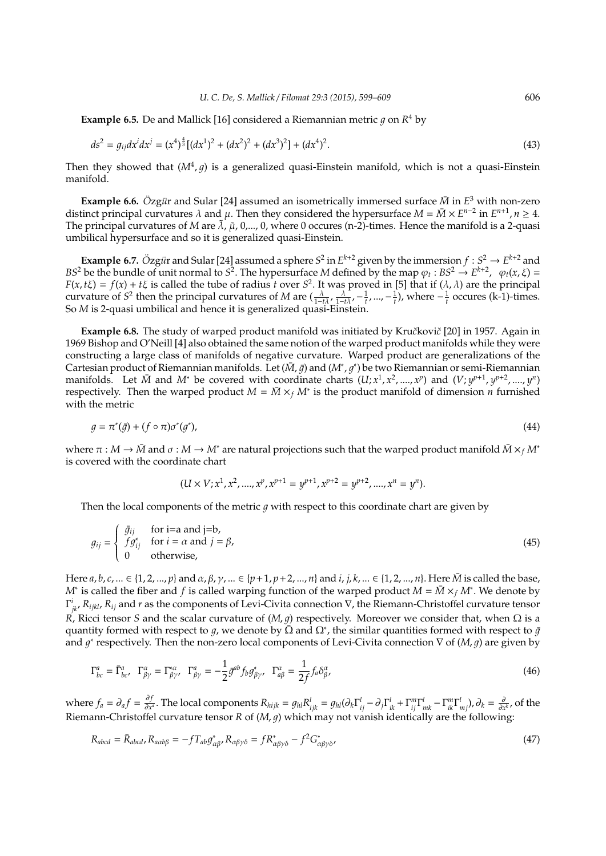**Example 6.5.** De and Mallick [16] considered a Riemannian metric  $g$  on  $R^4$  by

$$
ds^{2} = g_{ij}dx^{i}dx^{j} = (x^{4})^{\frac{4}{3}}[(dx^{1})^{2} + (dx^{2})^{2} + (dx^{3})^{2}] + (dx^{4})^{2}.
$$
\n(43)

Then they showed that  $(M<sup>4</sup>, g)$  is a generalized quasi-Einstein manifold, which is not a quasi-Einstein manifold.

**Example 6.6.**  $\ddot{\text{O}}$ zg*ür* and Sular [24] assumed an isometrically immersed surface  $\bar{M}$  in  $E^3$  with non-zero distinct principal curvatures  $\lambda$  and  $\mu$ . Then they considered the hypersurface  $M = \bar{M} \times E^{n-2}$  in  $E^{n+1}, n \ge 4$ . The principal curvatures of *M* are  $\tilde{\lambda}$ ,  $\tilde{\mu}$ , 0,..., 0, where 0 occures (n-2)-times. Hence the manifold is a 2-quasi umbilical hypersurface and so it is generalized quasi-Einstein.

**Example 6.7.**  $\ddot{O}$ zg $\ddot{u}$ r and Sular [24] assumed a sphere  $S^2$  in  $E^{k+2}$  given by the immersion  $f: S^2 \to E^{k+2}$  and *BS*<sup>2</sup> be the bundle of unit normal to *S*<sup>2</sup>. The hypersurface *M* defined by the map  $\varphi_t : BS^2 \to E^{k+2}$ ,  $\varphi_t(x, \xi) =$  $F(x, t\xi) = f(x) + t\xi$  is called the tube of radius *t* over  $S^2$ . It was proved in [5] that if  $(\lambda, \lambda)$  are the principal curvature of *S*<sup>2</sup> then the principal curvatures of *M* are  $(\frac{\lambda}{1-t\lambda}, \frac{\lambda}{1-t\lambda}, -\frac{1}{t}, ..., -\frac{1}{t})$ , where  $-\frac{1}{t}$  occures (k-1)-times. So *M* is 2-quasi umbilical and hence it is generalized quasi-Einstein.

**Example 6.8.** The study of warped product manifold was initiated by Kručkovič [20] in 1957. Again in 1969 Bishop and O'Neill [4] also obtained the same notion of the warped product manifolds while they were constructing a large class of manifolds of negative curvature. Warped product are generalizations of the Cartesian product of Riemannian manifolds. Let ( $\bar{M}$ ,  $\bar{g}$ ) and ( $M^*, g^*$ ) be two Riemannian or semi-Riemannian manifolds. Let  $\bar{M}$  and  $M^*$  be covered with coordinate charts  $(U; x^1, x^2, \ldots, x^p)$  and  $(V; y^{p+1}, y^{p+2}, \ldots, y^n)$ respectively. Then the warped product  $M = \overline{M} \times_f M^*$  is the product manifold of dimension *n* furnished with the metric

$$
g = \pi^*(\bar{g}) + (f \circ \pi)\sigma^*(g^*),\tag{44}
$$

where  $\pi : M \to \bar{M}$  and  $\sigma : M \to M^*$  are natural projections such that the warped product manifold  $\bar{M} \times_f M^*$ is covered with the coordinate chart

$$
(U \times V; x^1, x^2, \dots, x^p, x^{p+1} = y^{p+1}, x^{p+2} = y^{p+2}, \dots, x^n = y^n).
$$

Then the local components of the metric  $q$  with respect to this coordinate chart are given by

$$
g_{ij} = \begin{cases} \bar{g}_{ij} & \text{for i=a and j=b,} \\ f g_{ij}^* & \text{for i = } \alpha \text{ and } j = \beta, \\ 0 & \text{otherwise,} \end{cases}
$$
(45)

Here *a*, *b*, *c*, ... ∈ {1, 2, ..., *p*} and *α*, *β*, *γ*, ... ∈ {*p* + 1, *p* + 2, ..., *n*} and *i*, *j*, *k*, ... ∈ {1, 2, ..., *n*}. Here *M* is called the base, *M*<sup>∗</sup> is called the fiber and *f* is called warping function of the warped product  $M = \bar{M} \times_f M^*$ . We denote by Γ *i jk*, *<sup>R</sup>ijkl*, *<sup>R</sup>ij* and *<sup>r</sup>* as the components of Levi-Civita connection <sup>∇</sup>, the Riemann-Christoffel curvature tensor *R*, Ricci tensor *S* and the scalar curvature of (*M*, *g*) respectively. Moreover we consider that, when Ω is a quantity formed with respect to g, we denote by  $\overline{\Omega}$  and  $\Omega^*$ , the similar quantities formed with respect to  $\bar{g}$ and  $g^*$  respectively. Then the non-zero local components of Levi-Civita connection  $\nabla$  of (*M*, *g*) are given by

$$
\Gamma^a_{bc} = \bar{\Gamma}^a_{bc}, \ \ \Gamma^\alpha_{\beta\gamma} = \Gamma^{\ast\alpha}_{\beta\gamma}, \ \ \Gamma^a_{\beta\gamma} = -\frac{1}{2}\bar{g}^{ab}f_b g^{\ast}_{\beta\gamma}, \ \ \Gamma^\alpha_{a\beta} = \frac{1}{2f}f_a \delta^\alpha_{\beta},\tag{46}
$$

where  $f_a = \partial_a f = \frac{\partial f}{\partial x}$  $\frac{\partial f}{\partial x^a}$ . The local components  $R_{hijk} = g_{hl}R_{ijk}^l = g_{hl}(\partial_k\Gamma_{ij}^l - \partial_j\Gamma_{ik}^l + \Gamma_{ij}^m\Gamma_{mk}^l - \Gamma_{ik}^m\Gamma_{mj}^l)$ ,  $\partial_k = \frac{\partial}{\partial x^k}$ , of the Riemann-Christoffel curvature tensor  $R$  of  $(M, q)$  which may not vanish identically are the following:

$$
R_{abcd} = \bar{R}_{abcd}, R_{a\alpha b\beta} = -f T_{ab} g_{\alpha\beta}^*, R_{\alpha\beta\gamma\delta} = f R_{\alpha\beta\gamma\delta}^* - f^2 G_{\alpha\beta\gamma\delta}^*,
$$
\n(47)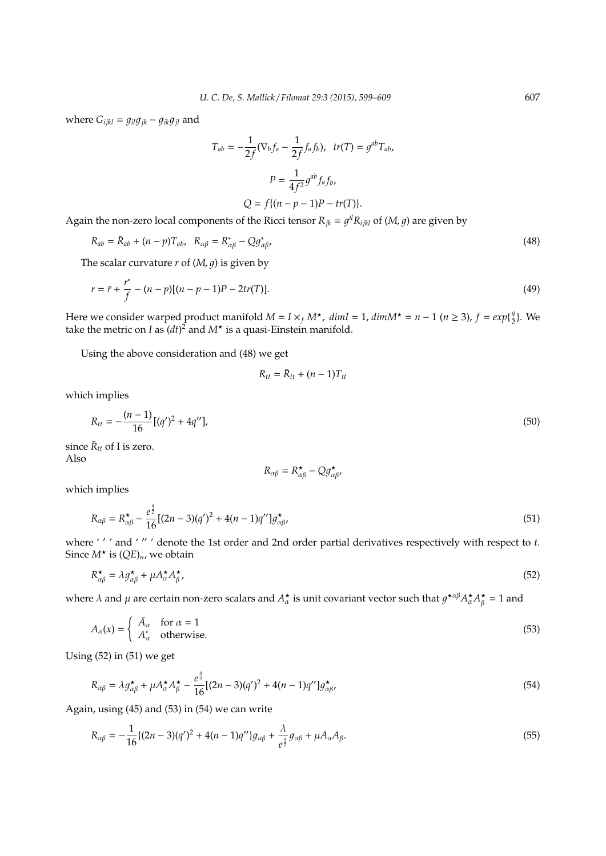where  $G_{ijkl} = g_{il}g_{jk} - g_{ik}g_{jl}$  and

$$
T_{ab} = -\frac{1}{2f} (\nabla_b f_a - \frac{1}{2f} f_a f_b), \quad tr(T) = g^{ab} T_{ab},
$$
  

$$
P = \frac{1}{4f^2} g^{ab} f_a f_b,
$$
  

$$
Q = f\{(n - p - 1)P - tr(T)\}.
$$

Again the non-zero local components of the Ricci tensor  $R_{jk} = g^{il}R_{ijkl}$  of  $(M, g)$  are given by

$$
R_{ab} = \bar{R}_{ab} + (n - p)T_{ab}, \quad R_{\alpha\beta} = R_{\alpha\beta}^* - Qg_{\alpha\beta}^*,
$$
\n
$$
(48)
$$

The scalar curvature  $r$  of  $(M, q)$  is given by

$$
r = \bar{r} + \frac{r^*}{f} - (n - p)[(n - p - 1)P - 2tr(T)].
$$
\n(49)

Here we consider warped product manifold  $M = I \times_f M^*$ ,  $dim I = 1$ ,  $dim M^* = n - 1$  ( $n \ge 3$ ),  $f = exp\{\frac{q}{2}\}$  $\frac{q}{2}$ . We take the metric on *I* as  $(dt)^2$  and  $M^*$  is a quasi-Einstein manifold.

Using the above consideration and (48) we get

$$
R_{tt} = \bar{R}_{tt} + (n-1)T_{tt}
$$

which implies

$$
R_{tt} = -\frac{(n-1)}{16} [(q')^2 + 4q''],
$$
\n(50)

since  $\bar{R}_{tt}$  of I is zero. Also

$$
R_{\alpha\beta} = R^{\star}_{\alpha\beta} - Qg^{\star}_{\alpha\beta},
$$

which implies

$$
R_{\alpha\beta} = R^{\star}_{\alpha\beta} - \frac{e^{\frac{q}{2}}}{16}[(2n-3)(q')^2 + 4(n-1)q'']g^{\star}_{\alpha\beta},
$$
\n(51)

where ''' and '"' denote the 1st order and 2nd order partial derivatives respectively with respect to *t*. Since  $M^*$  is  $(QE)_n$ , we obtain

$$
R_{\alpha\beta}^* = \lambda g_{\alpha\beta}^* + \mu A_{\alpha}^* A_{\beta}^*,\tag{52}
$$

where  $\lambda$  and  $\mu$  are certain non-zero scalars and  $A^\star_\alpha$  is unit covariant vector such that  $g^{\star\alpha\beta}A^\star_\alpha A^\star_\beta=1$  and

$$
A_{\alpha}(x) = \begin{cases} \bar{A}_{\alpha} & \text{for } \alpha = 1\\ A_{\alpha}^* & \text{otherwise.} \end{cases} \tag{53}
$$

Using (52) in (51) we get

$$
R_{\alpha\beta} = \lambda g_{\alpha\beta}^{\star} + \mu A_{\alpha}^{\star} A_{\beta}^{\star} - \frac{e^{\frac{q}{2}}}{16} [(2n-3)(q')^2 + 4(n-1)q''] g_{\alpha\beta}^{\star},\tag{54}
$$

Again, using (45) and (53) in (54) we can write

$$
R_{\alpha\beta} = -\frac{1}{16} \{ (2n-3)(q')^2 + 4(n-1)q'' \} g_{\alpha\beta} + \frac{\lambda}{e^{\frac{q}{2}}} g_{\alpha\beta} + \mu A_{\alpha} A_{\beta}.
$$
 (55)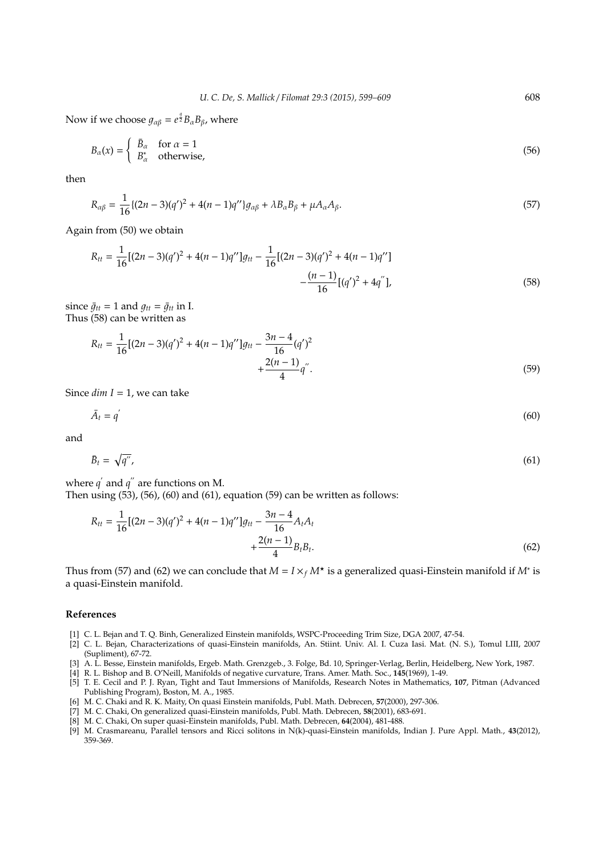Now if we choose  $g_{\alpha\beta} = e^{\frac{q}{2}}B_{\alpha}B_{\beta}$ , where

$$
B_{\alpha}(x) = \begin{cases} \bar{B}_{\alpha} & \text{for } \alpha = 1\\ B_{\alpha}^{*} & \text{otherwise,} \end{cases}
$$
 (56)

then

$$
R_{\alpha\beta} = \frac{1}{16} \{ (2n-3)(q')^2 + 4(n-1)q'' \} g_{\alpha\beta} + \lambda B_{\alpha} B_{\beta} + \mu A_{\alpha} A_{\beta}.
$$
 (57)

Again from (50) we obtain

$$
R_{tt} = \frac{1}{16} [(2n-3)(q')^2 + 4(n-1)q'']g_{tt} - \frac{1}{16} [(2n-3)(q')^2 + 4(n-1)q''] - \frac{(n-1)}{16} [(q')^2 + 4q'']
$$
\n(58)

since  $\bar{g}_{tt} = 1$  and  $g_{tt} = \bar{g}_{tt}$  in I. Thus (58) can be written as

$$
R_{tt} = \frac{1}{16} [(2n-3)(q')^{2} + 4(n-1)q'']g_{tt} - \frac{3n-4}{16}(q')^{2} + \frac{2(n-1)}{4}q''.
$$
\n(59)

Since  $dim I = 1$ , we can take

$$
\bar{A}_t = q' \tag{60}
$$

and

$$
\bar{B}_t = \sqrt{q''},\tag{61}
$$

where  $q'$  and  $q''$  are functions on M.

Then using  $(53)$ ,  $(56)$ ,  $(60)$  and  $(61)$ , equation  $(59)$  can be written as follows:

$$
R_{tt} = \frac{1}{16} [(2n-3)(q')^2 + 4(n-1)q'']g_{tt} - \frac{3n-4}{16} A_t A_t + \frac{2(n-1)}{4} B_t B_t.
$$
\n(62)

Thus from (57) and (62) we can conclude that  $M = I \times_f M^*$  is a generalized quasi-Einstein manifold if  $M^*$  is a quasi-Einstein manifold.

#### **References**

- [1] C. L. Bejan and T. Q. Binh, Generalized Einstein manifolds, WSPC-Proceeding Trim Size, DGA 2007, 47-54.
- [2] C. L. Bejan, Characterizations of quasi-Einstein manifolds, An. Stiint. Univ. Al. I. Cuza Iasi. Mat. (N. S.), Tomul LIII, 2007 (Supliment), 67-72.
- [3] A. L. Besse, Einstein manifolds, Ergeb. Math. Grenzgeb., 3. Folge, Bd. 10, Springer-Verlag, Berlin, Heidelberg, New York, 1987.
- [4] R. L. Bishop and B. O'Neill, Manifolds of negative curvature, Trans. Amer. Math. Soc., **145**(1969), 1-49.
- [5] T. E. Cecil and P. J. Ryan, Tight and Taut Immersions of Manifolds, Research Notes in Mathematics, **107**, Pitman (Advanced Publishing Program), Boston, M. A., 1985.
- [6] M. C. Chaki and R. K. Maity, On quasi Einstein manifolds, Publ. Math. Debrecen, **57**(2000), 297-306.
- [7] M. C. Chaki, On generalized quasi-Einstein manifolds, Publ. Math. Debrecen, **58**(2001), 683-691.
- [8] M. C. Chaki, On super quasi-Einstein manifolds, Publ. Math. Debrecen, **64**(2004), 481-488.
- [9] M. Crasmareanu, Parallel tensors and Ricci solitons in N(k)-quasi-Einstein manifolds, Indian J. Pure Appl. Math., **43**(2012), 359-369.